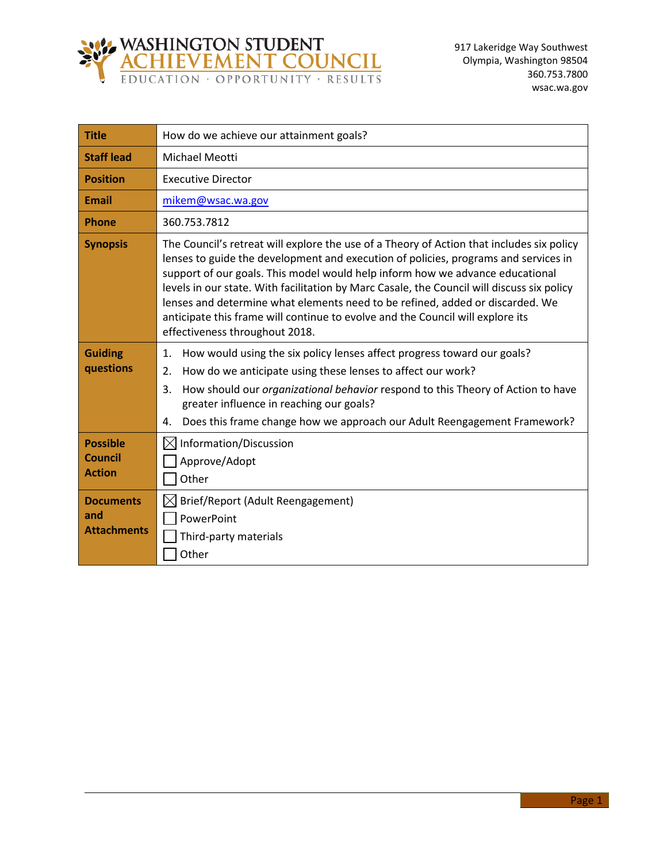

| <b>Title</b>                                       | How do we achieve our attainment goals?                                                                                                                                                                                                                                                                                                                                                                                                                                                                                                                              |  |
|----------------------------------------------------|----------------------------------------------------------------------------------------------------------------------------------------------------------------------------------------------------------------------------------------------------------------------------------------------------------------------------------------------------------------------------------------------------------------------------------------------------------------------------------------------------------------------------------------------------------------------|--|
| <b>Staff lead</b>                                  | Michael Meotti                                                                                                                                                                                                                                                                                                                                                                                                                                                                                                                                                       |  |
| <b>Position</b>                                    | <b>Executive Director</b>                                                                                                                                                                                                                                                                                                                                                                                                                                                                                                                                            |  |
| <b>Email</b>                                       | mikem@wsac.wa.gov                                                                                                                                                                                                                                                                                                                                                                                                                                                                                                                                                    |  |
| <b>Phone</b>                                       | 360.753.7812                                                                                                                                                                                                                                                                                                                                                                                                                                                                                                                                                         |  |
| <b>Synopsis</b>                                    | The Council's retreat will explore the use of a Theory of Action that includes six policy<br>lenses to guide the development and execution of policies, programs and services in<br>support of our goals. This model would help inform how we advance educational<br>levels in our state. With facilitation by Marc Casale, the Council will discuss six policy<br>lenses and determine what elements need to be refined, added or discarded. We<br>anticipate this frame will continue to evolve and the Council will explore its<br>effectiveness throughout 2018. |  |
| <b>Guiding</b><br>questions                        | How would using the six policy lenses affect progress toward our goals?<br>1.<br>How do we anticipate using these lenses to affect our work?<br>2.<br>How should our <i>organizational behavior</i> respond to this Theory of Action to have<br>3.<br>greater influence in reaching our goals?<br>Does this frame change how we approach our Adult Reengagement Framework?<br>4.                                                                                                                                                                                     |  |
| <b>Possible</b><br><b>Council</b><br><b>Action</b> | Information/Discussion<br>$\times$<br>Approve/Adopt<br>Other                                                                                                                                                                                                                                                                                                                                                                                                                                                                                                         |  |
| <b>Documents</b><br>and<br><b>Attachments</b>      | Brief/Report (Adult Reengagement)<br>PowerPoint<br>Third-party materials<br>Other                                                                                                                                                                                                                                                                                                                                                                                                                                                                                    |  |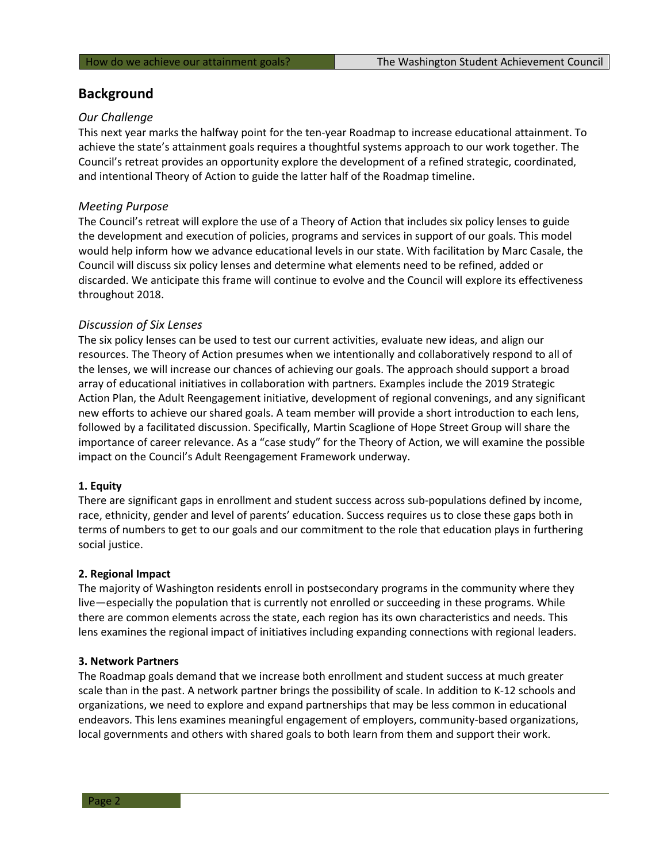# **Background**

# *Our Challenge*

This next year marks the halfway point for the ten-year Roadmap to increase educational attainment. To achieve the state's attainment goals requires a thoughtful systems approach to our work together. The Council's retreat provides an opportunity explore the development of a refined strategic, coordinated, and intentional Theory of Action to guide the latter half of the Roadmap timeline.

# *Meeting Purpose*

The Council's retreat will explore the use of a Theory of Action that includes six policy lenses to guide the development and execution of policies, programs and services in support of our goals. This model would help inform how we advance educational levels in our state. With facilitation by Marc Casale, the Council will discuss six policy lenses and determine what elements need to be refined, added or discarded. We anticipate this frame will continue to evolve and the Council will explore its effectiveness throughout 2018.

## *Discussion of Six Lenses*

The six policy lenses can be used to test our current activities, evaluate new ideas, and align our resources. The Theory of Action presumes when we intentionally and collaboratively respond to all of the lenses, we will increase our chances of achieving our goals. The approach should support a broad array of educational initiatives in collaboration with partners. Examples include the 2019 Strategic Action Plan, the Adult Reengagement initiative, development of regional convenings, and any significant new efforts to achieve our shared goals. A team member will provide a short introduction to each lens, followed by a facilitated discussion. Specifically, Martin Scaglione of Hope Street Group will share the importance of career relevance. As a "case study" for the Theory of Action, we will examine the possible impact on the Council's Adult Reengagement Framework underway.

## **1. Equity**

There are significant gaps in enrollment and student success across sub-populations defined by income, race, ethnicity, gender and level of parents' education. Success requires us to close these gaps both in terms of numbers to get to our goals and our commitment to the role that education plays in furthering social justice.

## **2. Regional Impact**

The majority of Washington residents enroll in postsecondary programs in the community where they live—especially the population that is currently not enrolled or succeeding in these programs. While there are common elements across the state, each region has its own characteristics and needs. This lens examines the regional impact of initiatives including expanding connections with regional leaders.

## **3. Network Partners**

The Roadmap goals demand that we increase both enrollment and student success at much greater scale than in the past. A network partner brings the possibility of scale. In addition to K-12 schools and organizations, we need to explore and expand partnerships that may be less common in educational endeavors. This lens examines meaningful engagement of employers, community-based organizations, local governments and others with shared goals to both learn from them and support their work.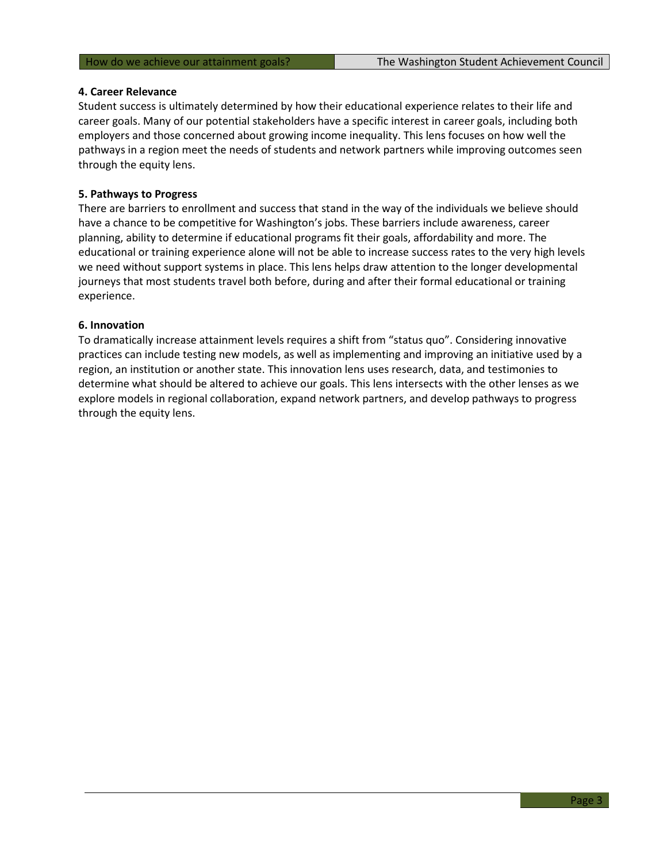#### **4. Career Relevance**

Student success is ultimately determined by how their educational experience relates to their life and career goals. Many of our potential stakeholders have a specific interest in career goals, including both employers and those concerned about growing income inequality. This lens focuses on how well the pathways in a region meet the needs of students and network partners while improving outcomes seen through the equity lens.

#### **5. Pathways to Progress**

There are barriers to enrollment and success that stand in the way of the individuals we believe should have a chance to be competitive for Washington's jobs. These barriers include awareness, career planning, ability to determine if educational programs fit their goals, affordability and more. The educational or training experience alone will not be able to increase success rates to the very high levels we need without support systems in place. This lens helps draw attention to the longer developmental journeys that most students travel both before, during and after their formal educational or training experience.

#### **6. Innovation**

To dramatically increase attainment levels requires a shift from "status quo". Considering innovative practices can include testing new models, as well as implementing and improving an initiative used by a region, an institution or another state. This innovation lens uses research, data, and testimonies to determine what should be altered to achieve our goals. This lens intersects with the other lenses as we explore models in regional collaboration, expand network partners, and develop pathways to progress through the equity lens.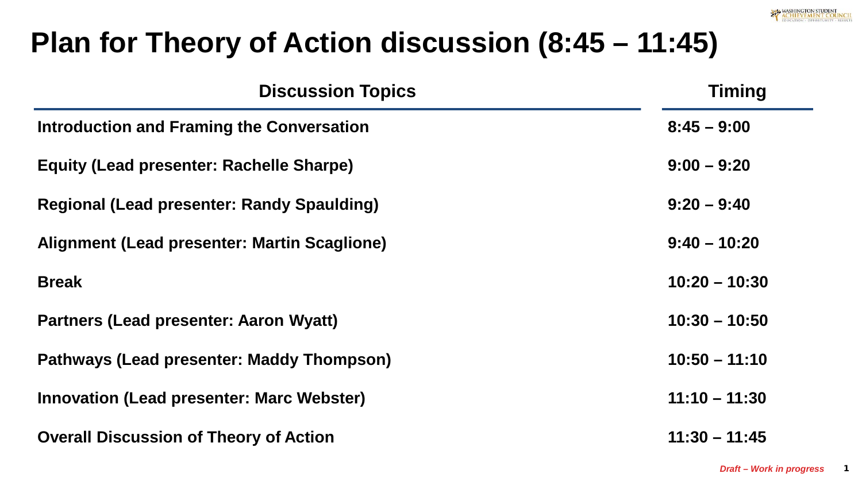# **Plan for Theory of Action discussion (8:45 – 11:45)**

| <b>Discussion Topics</b>                          | <b>Timing</b>   |
|---------------------------------------------------|-----------------|
| Introduction and Framing the Conversation         | $8:45 - 9:00$   |
| <b>Equity (Lead presenter: Rachelle Sharpe)</b>   | $9:00 - 9:20$   |
| <b>Regional (Lead presenter: Randy Spaulding)</b> | $9:20 - 9:40$   |
| Alignment (Lead presenter: Martin Scaglione)      | $9:40 - 10:20$  |
| <b>Break</b>                                      | $10:20 - 10:30$ |
| <b>Partners (Lead presenter: Aaron Wyatt)</b>     | $10:30 - 10:50$ |
| <b>Pathways (Lead presenter: Maddy Thompson)</b>  | $10:50 - 11:10$ |
| <b>Innovation (Lead presenter: Marc Webster)</b>  | $11:10 - 11:30$ |
| <b>Overall Discussion of Theory of Action</b>     | $11:30 - 11:45$ |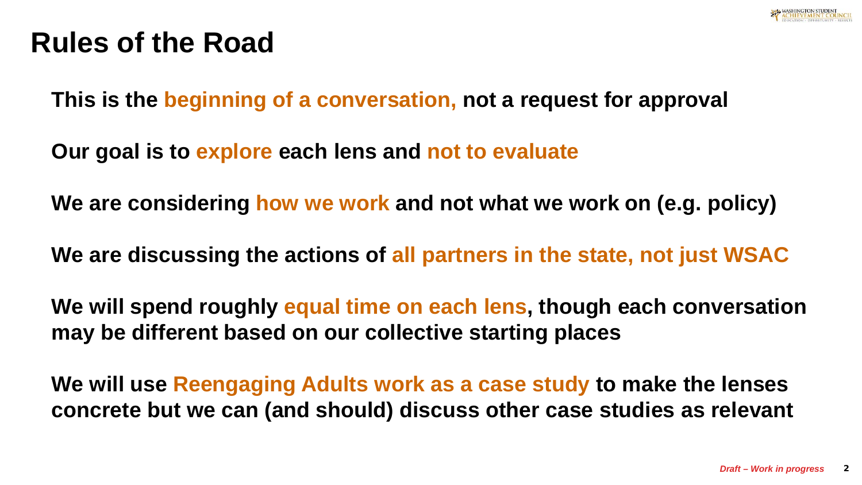

# **Rules of the Road**

**This is the beginning of a conversation, not a request for approval**

**Our goal is to explore each lens and not to evaluate** 

**We are considering how we work and not what we work on (e.g. policy)**

**We are discussing the actions of all partners in the state, not just WSAC**

**We will spend roughly equal time on each lens, though each conversation may be different based on our collective starting places** 

**We will use Reengaging Adults work as a case study to make the lenses concrete but we can (and should) discuss other case studies as relevant**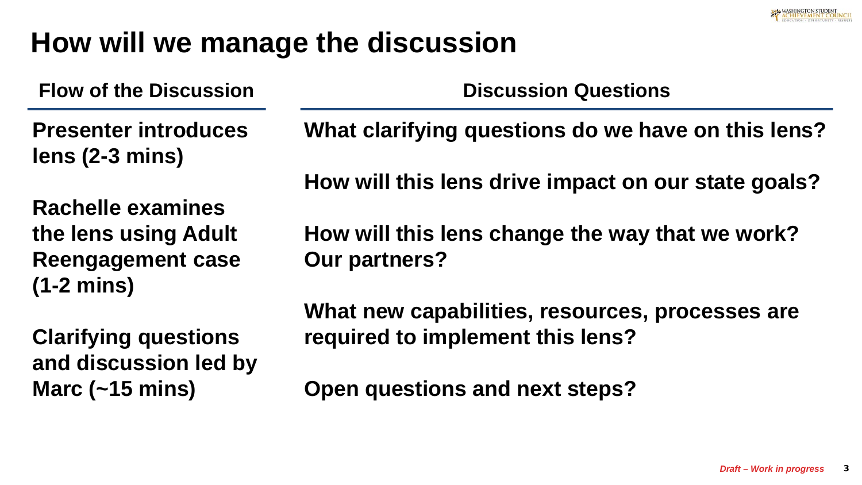

# **How will we manage the discussion**

**and discussion led by** 

**Marc (~15 mins)**

**Flow of the Discussion Presenter introduces lens (2-3 mins) Rachelle examines the lens using Adult Reengagement case (1-2 mins) Clarifying questions Discussion Questions What clarifying questions do we have on this lens? How will this lens drive impact on our state goals? How will this lens change the way that we work? Our partners? What new capabilities, resources, processes are required to implement this lens?**

**Open questions and next steps?**